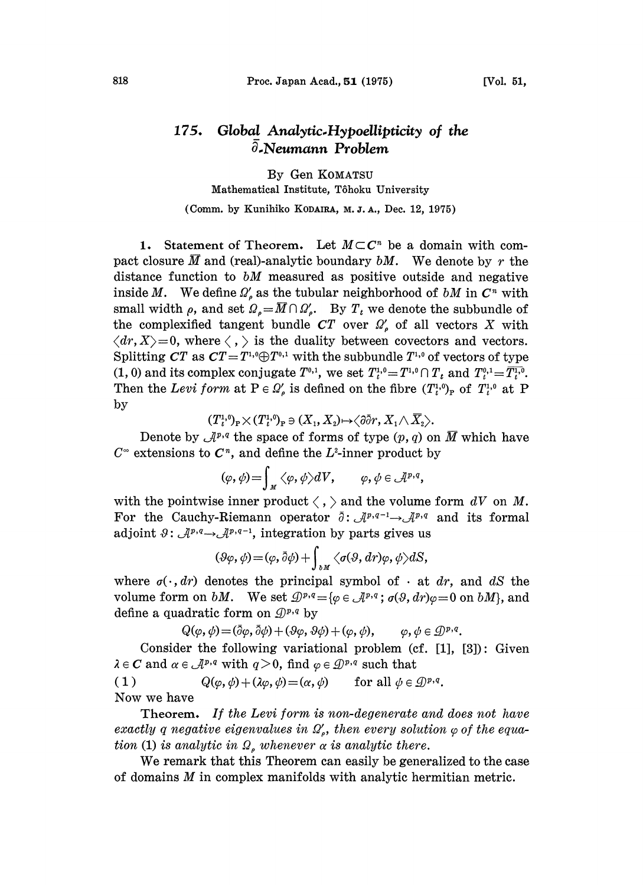## 175. Global Analytic-Hypoellipticity of the 3.Neumann Problem

By Gen KOMATSU Mathematical Institute, Tôhoku University (Comm. by Kunihiko KODAIRA, M. J. A., Dec. 12, 1975)

1. Statement of Theorem. Let  $M\subset\mathbb{C}^n$  be a domain with com-1. Statement of Theorem. Let  $M \subset \mathbb{C}^n$  be a domain with compact closure  $\overline{M}$  and (real)-analytic boundary  $bM$ . We denote by r the distance function to bM measured as positive outside and negative inside M. We define  $\Omega'$ , as the tubular neighborhood of bM in  $C<sup>n</sup>$  with small width  $\rho$ , and set  $\Omega_{\rho}=\overline{M}\cap \Omega'_{\rho}$ . By  $T_t$  we denote the subbundle of the complexified tangent bundle  $CT$  over  $\Omega'_{\rho}$  of all vectors X with  $\langle dr, X \rangle = 0$ , where  $\langle , \rangle$  is the duality between covectors and vectors. Splitting CT as  $CT = T^{1,0} \oplus T^{0,1}$  with the subbundle  $T^{1,0}$  of vectors of type (1, 0) and its complex conjugate  $T^{0,1}$ , we set  $T^{1,0}_t = T^{1,0} \cap T_t$  and  $T^{0,1}_t = \overline{T^{1,0}_t}$ . Then the Levi form at  $P \in \Omega'_{\rho}$  is defined on the fibre  $(T^{1,0}_{t})_{p}$  of  $T^{1,0}_{t}$  at P by

$$
(T_{t}^{1,0})_{\mathbf{P}}\times(T_{t}^{1,0})_{\mathbf{P}}\ni(X_{1},X_{2})\mapsto\big\langle\partial\bar{\partial}r,X_{1}\wedge\overline{X}_{2}\big\rangle.
$$

Denote by  $\mathcal{A}^{p,q}$  the space of forms of type  $(p, q)$  on  $\overline{M}$  which have  $C^{\infty}$  extensions to  $C^{n}$ , and define the L<sup>2</sup>-inner product by

$$
(\varphi,\psi) = \int_M \langle \varphi,\psi \rangle dV, \qquad \varphi,\psi \in \mathcal{A}^{p,q},
$$

with the pointwise inner product  $\langle , \rangle$  and the volume form  $dV$  on M. For the Cauchy-Riemann operator  $\bar{\partial}$ :  $\bar{\mathcal{A}}^{p,q-1} \rightarrow \bar{\mathcal{A}}^{p,q}$ <br>adjoint  $\vartheta$ :  $\bar{\mathcal{A}}^{p,q} \rightarrow \bar{\mathcal{A}}^{p,q-1}$ , integration by parts gives us For the Cauchy-Riemann operator  $\bar{\partial}$ :  $\mathcal{A}^{p,q-1} \rightarrow \mathcal{A}^{p,q}$  and its formal

$$
(\vartheta\varphi,\psi)\!=\!(\varphi,\bar{\partial}\psi)+\int_{\partial M}\big\langle \sigma(\vartheta,dr)\varphi,\psi\big\rangle dS,
$$

where  $\sigma(\cdot, dr)$  denotes the principal symbol of  $\cdot$  at dr, and dS the where  $\sigma(\cdot, ar)$  denotes the principal symbol of  $\cdot$  at *ar*, and *as* the volume form on *bM*. We set  $\mathcal{D}^{p,q} = {\varphi \in \mathcal{A}^{p,q}}$ ;  $\sigma(\vartheta, dr)\varphi = 0$  on *bM*}, and define a quadratic form on  $\mathcal{D}^{p,q}$  by

$$
Q(\varphi, \psi) = (\bar{\partial}\varphi, \bar{\partial}\psi) + (\vartheta\varphi, \vartheta\psi) + (\varphi, \psi), \qquad \varphi, \psi \in \mathcal{D}^{p,q}.
$$

Consider the following variational problem  $(cf. [1], [3])$ : Given  $\lambda \in \mathbb{C}$  and  $\alpha \in \mathcal{A}^{p,q}$  with  $q > 0$ , find  $\varphi \in \mathcal{D}^{p,q}$  such that<br>
(1)  $Q(\varphi, \psi) + (\lambda \varphi, \psi) = (\alpha, \psi)$  for all  $\psi \in \mathcal{D}^{p,q}$ .

 $Q(\varphi, \psi) + (\lambda \varphi, \psi) = (\alpha, \psi)$ Now we have

Theorem. If the Levi form is non-degenerate and does not have exactly q negative eigenvalues in  $\Omega'$ , then every solution  $\varphi$  of the equation (1) is analytic in  $\Omega$ , whenever  $\alpha$  is analytic there.

We remark that this Theorem can easily be generalized to the case of domains M in complex manifolds with analytic hermitian metric.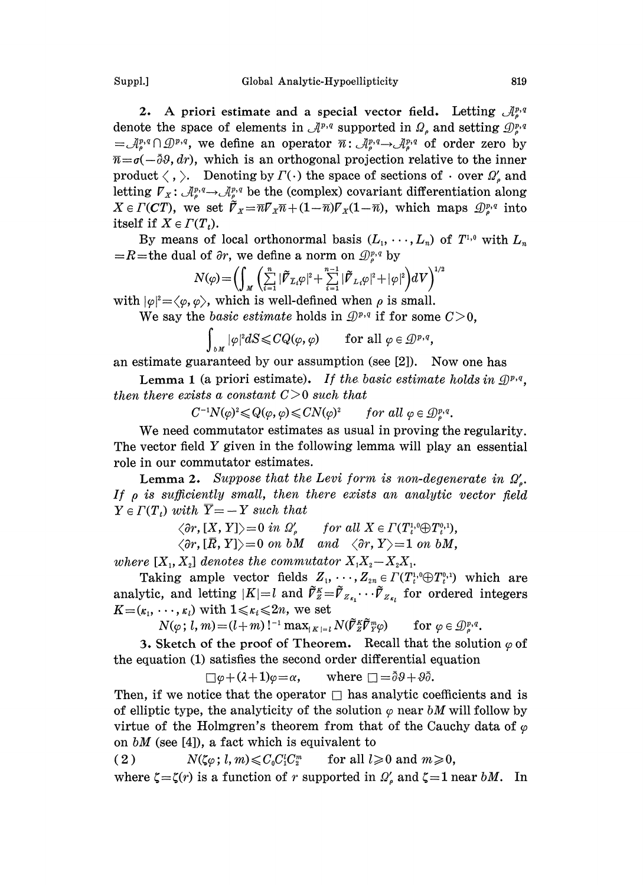Suppl.] Global Analytic-Hypoellipticity 819

2. A priori estimate and a special vector field. Letting  $\mathcal{A}^{p,q}_{\alpha}$ denote the space of elements in  $\mathcal{A}^{p,q}$  supported in  $\Omega_p$  and setting  $\mathcal{D}_p^{p,q}$  $=\mathcal{A}_{\rho}^{p,q}\cap\mathcal{D}^{p,q}$ , we define an operator  $\overline{n}$ :  $\mathcal{A}_{\rho}^{p,q}\rightarrow\mathcal{A}_{\rho}^{p,q}$  of order zero by  $\overline{n} = \sigma(-\overline{\partial}\vartheta, dr)$ , which is an orthogonal projection relative to the inner

product  $\langle$  ,  $\rangle$ . Denoting by  $\varGamma(\cdot)$  the space of sections of  $\cdot$  over  $\varOmega'_{\rho}$  and product  $\langle , \rangle$ . Benoting by  $T(\cdot)$  the space of sections of  $\cdot$  over  $\mathbb{Z}_{\rho}$  and letting  $V_x: \mathcal{A}_{\rho}^{p,q} \to \mathcal{A}_{\rho}^{p,q}$  be the (complex) covariant differentiation along  $X \in \Gamma(CT)$ , we set  $\tilde{\mathcal{V}}_X = \overline{n}\mathcal{V}_X\overline{n} + (1-\overline{n})\mathcal{V}_X(1-\overline{n})$ , which maps  $\mathcal{Q}_s^{p,q}$  into itself if  $X \in \Gamma(T_i)$ .

By means of local orthonormal basis  $(L_1, \dots, L_n)$  of  $T^{1,0}$  with  $L_n$  $=R$ =the dual of  $\partial r$ , we define a norm on  $\mathcal{D}_{\rho}^{p,q}$  by

$$
N(\varphi)\!=\!\Bigl(\!\int_{M}\biggl(\sum\limits_{i=1}^{n}|\widetilde{\boldsymbol{V}}_{\mathcal{I}_{i}}\varphi|^{2}\!+\!\sum\limits_{i=1}^{n-1}|\widetilde{\boldsymbol{V}}_{L_{i}}\varphi|^{2}\!+\!|\varphi|^{2}\Bigr)dV\Bigr)^{1/2}
$$

with  $|\varphi|^2 = \langle \varphi, \varphi \rangle$ , which is well-defined when  $\rho$  is small.

We say the basic estimate holds in  $\mathcal{D}^{p,q}$  if for some  $C>0$ ,

 $\int_{\partial M} |\varphi|^2 dS \leqslant CQ(\varphi, \varphi)$  for all  $\varphi \in \mathcal{D}^{p,q}$ ,

an estimate guaranteed by our assumption (see [2]). Now one has

**Lemma 1** (a priori estimate). If the basic estimate holds in  $\mathcal{Q}^{p,q}$ , then there exists a constant  $C>0$  such that

$$
C^{-1}N(\varphi)^2 \leq Q(\varphi, \varphi) \leq CN(\varphi)^2 \qquad \text{for all } \varphi \in \mathcal{D}_{\varphi}^{p,q}.
$$

We need commutator estimates as usual in proving the regularity. The vector field Y given in the following lemma will play an essential role in our commutator estimates.

**Lemma 2.** Suppose that the Levi form is non-degenerate in  $\Omega'$ . If  $\rho$  is sufficiently small, then there exists an analytic vector field  $Y \in \Gamma(T_t)$  with  $\overline{Y} = -Y$  such that

 $\langle \partial r, [X, Y] \rangle = 0$  in  $\Omega'$ , for all  $X \in \Gamma(T_i^1 \cap T_i^2)$ ,<br>  $\langle \partial r, [\overline{R}, Y] \rangle = 0$  on bM and  $\langle \partial r, Y \rangle = 1$  on bM,

 $\langle \partial r, [\overline{R}, Y] \rangle = 0$  on bM and  $\langle \partial r, Y \rangle = 1$  on bM,

where  $[X_1, X_2]$  denotes the commutator  $X_1X_2-X_2X_1$ .

Taking ample vector fields  $Z_1, \cdots, Z_{2n} \in \Gamma(T_t^{1,0} \oplus T_t^{0,1})$  which are analytic, and letting  $|K|=l$  and  $\tilde{V}_{Z}^K=\tilde{V}_{Z_{K_l}}\cdots\tilde{V}_{Z_{K_l}}$  for ordered integers  $K=(\kappa_1, \dots, \kappa_l)$  with  $1 \leq \kappa_i \leq 2n$ , we set

 $N(\varphi; l, m) = (l+m)!^{-1} \max_{|K|=l} N(\tilde{V}_{Z}^{K}\tilde{V}_{Y}^{m}\varphi)$  for  $\varphi \in \mathcal{D}_{\varphi}^{p,q}$ .

3. Sketch of the proof of Theorem. Recall that the solution  $\varphi$  of the equation (1) satisfies the second order differential equation

$$
\Box \varphi + (\lambda + 1)\varphi = \alpha, \quad \text{where } \Box = \bar{\partial}\vartheta + \vartheta\bar{\partial}.
$$

Then, if we notice that the operator  $\Box$  has analytic coefficients and is of elliptic type, the analyticity of the solution  $\varphi$  near bM will follow by virtue of the Holmgren's theorem from that of the Cauchy data of  $\varphi$ 

on bM (see [4]), a fact which is equivalent to<br>
(2)  $N(\zeta\varphi; l, m) \leqslant C_0 C_1^l C_2^m$  for all  $l$ ;  $N(\zeta \varphi; l, m) \leqslant C_0 C_1^l C_2^m$  for all  $l \geqslant 0$  and  $m \geqslant 0$ , where  $\zeta = \zeta(r)$  is a function of r supported in  $\Omega'$ , and  $\zeta = 1$  near bM. In